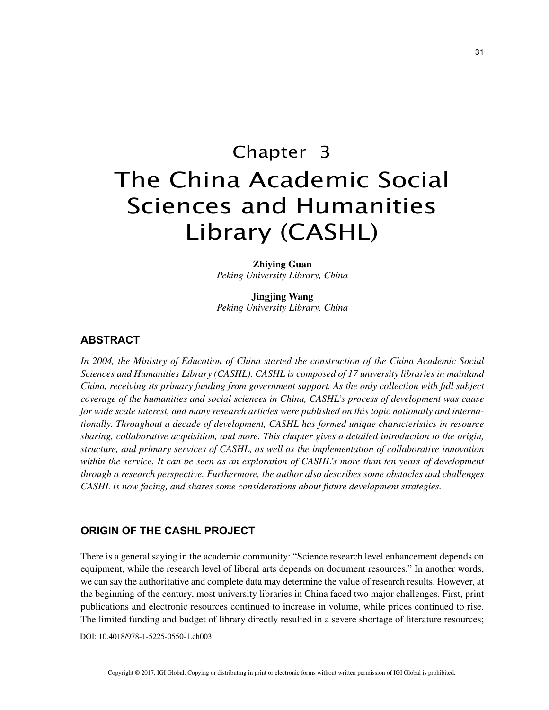# Chapter 3 The China Academic Social Sciences and Humanities Library (CASHL)

**Zhiying Guan** *Peking University Library, China*

**Jingjing Wang** *Peking University Library, China*

# **ABSTRACT**

*In 2004, the Ministry of Education of China started the construction of the China Academic Social Sciences and Humanities Library (CASHL). CASHL is composed of 17 university libraries in mainland China, receiving its primary funding from government support. As the only collection with full subject coverage of the humanities and social sciences in China, CASHL's process of development was cause for wide scale interest, and many research articles were published on this topic nationally and internationally. Throughout a decade of development, CASHL has formed unique characteristics in resource sharing, collaborative acquisition, and more. This chapter gives a detailed introduction to the origin, structure, and primary services of CASHL, as well as the implementation of collaborative innovation within the service. It can be seen as an exploration of CASHL's more than ten years of development through a research perspective. Furthermore, the author also describes some obstacles and challenges CASHL is now facing, and shares some considerations about future development strategies.*

## **ORIGIN OF THE CASHL PROJECT**

There is a general saying in the academic community: "Science research level enhancement depends on equipment, while the research level of liberal arts depends on document resources." In another words, we can say the authoritative and complete data may determine the value of research results. However, at the beginning of the century, most university libraries in China faced two major challenges. First, print publications and electronic resources continued to increase in volume, while prices continued to rise. The limited funding and budget of library directly resulted in a severe shortage of literature resources;

DOI: 10.4018/978-1-5225-0550-1.ch003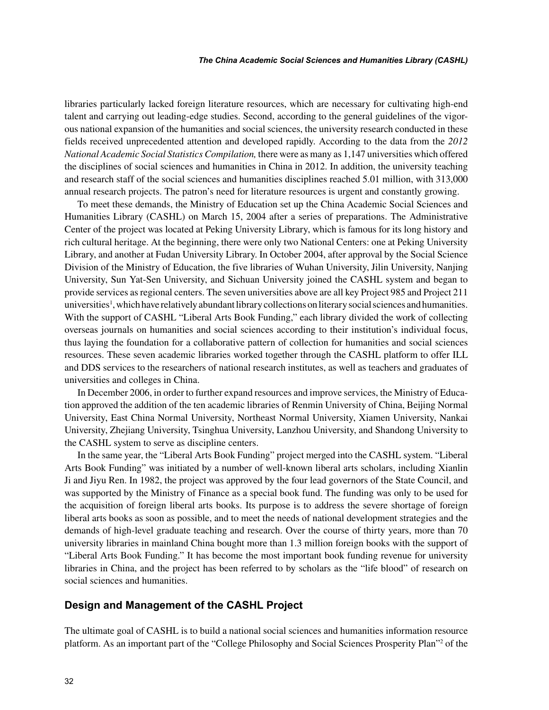libraries particularly lacked foreign literature resources, which are necessary for cultivating high-end talent and carrying out leading-edge studies. Second, according to the general guidelines of the vigorous national expansion of the humanities and social sciences, the university research conducted in these fields received unprecedented attention and developed rapidly. According to the data from the *2012 National Academic Social Statistics Compilation,* there were as many as 1,147 universities which offered the disciplines of social sciences and humanities in China in 2012. In addition, the university teaching and research staff of the social sciences and humanities disciplines reached 5.01 million, with 313,000 annual research projects. The patron's need for literature resources is urgent and constantly growing.

To meet these demands, the Ministry of Education set up the China Academic Social Sciences and Humanities Library (CASHL) on March 15, 2004 after a series of preparations. The Administrative Center of the project was located at Peking University Library, which is famous for its long history and rich cultural heritage. At the beginning, there were only two National Centers: one at Peking University Library, and another at Fudan University Library. In October 2004, after approval by the Social Science Division of the Ministry of Education, the five libraries of Wuhan University, Jilin University, Nanjing University, Sun Yat-Sen University, and Sichuan University joined the CASHL system and began to provide services as regional centers. The seven universities above are all key Project 985 and Project 211 universities<sup>1</sup>, which have relatively abundant library collections on literary social sciences and humanities. With the support of CASHL "Liberal Arts Book Funding," each library divided the work of collecting overseas journals on humanities and social sciences according to their institution's individual focus, thus laying the foundation for a collaborative pattern of collection for humanities and social sciences resources. These seven academic libraries worked together through the CASHL platform to offer ILL and DDS services to the researchers of national research institutes, as well as teachers and graduates of universities and colleges in China.

In December 2006, in order to further expand resources and improve services, the Ministry of Education approved the addition of the ten academic libraries of Renmin University of China, Beijing Normal University, East China Normal University, Northeast Normal University, Xiamen University, Nankai University, Zhejiang University, Tsinghua University, Lanzhou University, and Shandong University to the CASHL system to serve as discipline centers.

In the same year, the "Liberal Arts Book Funding" project merged into the CASHL system. "Liberal Arts Book Funding" was initiated by a number of well-known liberal arts scholars, including Xianlin Ji and Jiyu Ren. In 1982, the project was approved by the four lead governors of the State Council, and was supported by the Ministry of Finance as a special book fund. The funding was only to be used for the acquisition of foreign liberal arts books. Its purpose is to address the severe shortage of foreign liberal arts books as soon as possible, and to meet the needs of national development strategies and the demands of high-level graduate teaching and research. Over the course of thirty years, more than 70 university libraries in mainland China bought more than 1.3 million foreign books with the support of "Liberal Arts Book Funding." It has become the most important book funding revenue for university libraries in China, and the project has been referred to by scholars as the "life blood" of research on social sciences and humanities.

## **Design and Management of the CASHL Project**

The ultimate goal of CASHL is to build a national social sciences and humanities information resource platform. As an important part of the "College Philosophy and Social Sciences Prosperity Plan"2 of the